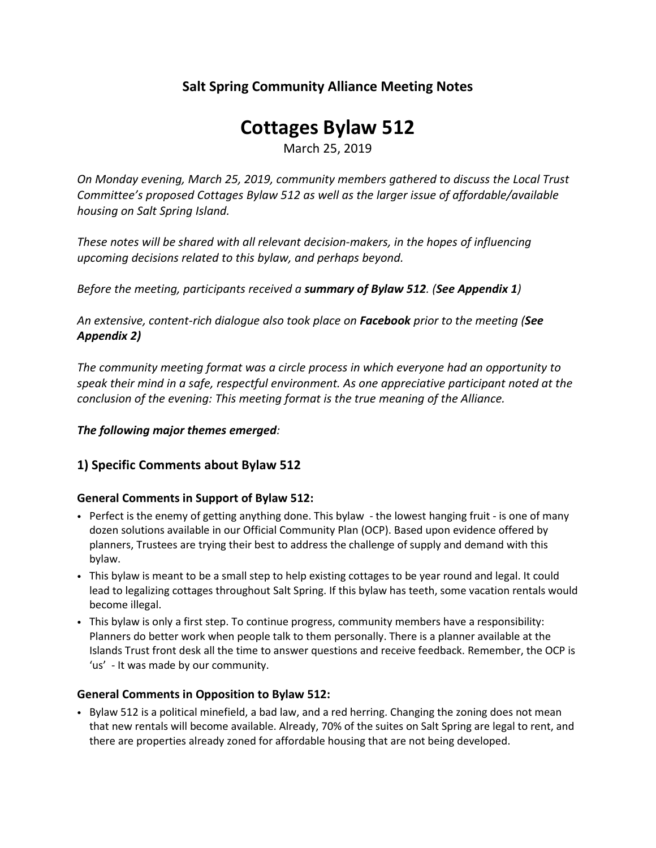# **Salt Spring Community Alliance Meeting Notes**

# **Cottages Bylaw 512**

March 25, 2019

*On Monday evening, March 25, 2019, community members gathered to discuss the Local Trust Committee's proposed Cottages Bylaw 512 as well as the larger issue of affordable/available housing on Salt Spring Island.*

*These notes will be shared with all relevant decision-makers, in the hopes of influencing upcoming decisions related to this bylaw, and perhaps beyond.*

*Before the meeting, participants received a summary of Bylaw 512. (See Appendix 1)*

*An extensive, content-rich dialogue also took place on Facebook prior to the meeting (See Appendix 2)*

*The community meeting format was a circle process in which everyone had an opportunity to speak their mind in a safe, respectful environment. As one appreciative participant noted at the conclusion of the evening: This meeting format is the true meaning of the Alliance.*

## *The following major themes emerged:*

# **1) Specific Comments about Bylaw 512**

## **General Comments in Support of Bylaw 512:**

- Perfect is the enemy of getting anything done. This bylaw the lowest hanging fruit is one of many dozen solutions available in our Official Community Plan (OCP). Based upon evidence offered by planners, Trustees are trying their best to address the challenge of supply and demand with this bylaw.
- This bylaw is meant to be a small step to help existing cottages to be year round and legal. It could lead to legalizing cottages throughout Salt Spring. If this bylaw has teeth, some vacation rentals would become illegal.
- This bylaw is only a first step. To continue progress, community members have a responsibility: Planners do better work when people talk to them personally. There is a planner available at the Islands Trust front desk all the time to answer questions and receive feedback. Remember, the OCP is 'us' - It was made by our community.

## **General Comments in Opposition to Bylaw 512:**

• Bylaw 512 is a political minefield, a bad law, and a red herring. Changing the zoning does not mean that new rentals will become available. Already, 70% of the suites on Salt Spring are legal to rent, and there are properties already zoned for affordable housing that are not being developed.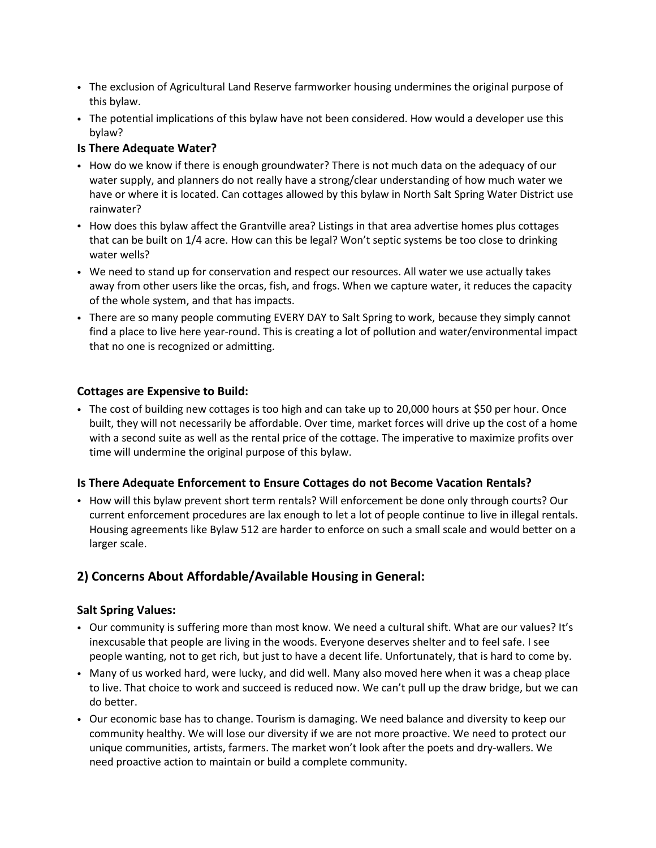- The exclusion of Agricultural Land Reserve farmworker housing undermines the original purpose of this bylaw.
- The potential implications of this bylaw have not been considered. How would a developer use this bylaw?

#### **Is There Adequate Water?**

- How do we know if there is enough groundwater? There is not much data on the adequacy of our water supply, and planners do not really have a strong/clear understanding of how much water we have or where it is located. Can cottages allowed by this bylaw in North Salt Spring Water District use rainwater?
- How does this bylaw affect the Grantville area? Listings in that area advertise homes plus cottages that can be built on 1/4 acre. How can this be legal? Won't septic systems be too close to drinking water wells?
- We need to stand up for conservation and respect our resources. All water we use actually takes away from other users like the orcas, fish, and frogs. When we capture water, it reduces the capacity of the whole system, and that has impacts.
- There are so many people commuting EVERY DAY to Salt Spring to work, because they simply cannot find a place to live here year-round. This is creating a lot of pollution and water/environmental impact that no one is recognized or admitting.

#### **Cottages are Expensive to Build:**

• The cost of building new cottages is too high and can take up to 20,000 hours at \$50 per hour. Once built, they will not necessarily be affordable. Over time, market forces will drive up the cost of a home with a second suite as well as the rental price of the cottage. The imperative to maximize profits over time will undermine the original purpose of this bylaw.

#### **Is There Adequate Enforcement to Ensure Cottages do not Become Vacation Rentals?**

• How will this bylaw prevent short term rentals? Will enforcement be done only through courts? Our current enforcement procedures are lax enough to let a lot of people continue to live in illegal rentals. Housing agreements like Bylaw 512 are harder to enforce on such a small scale and would better on a larger scale.

# **2) Concerns About Affordable/Available Housing in General:**

#### **Salt Spring Values:**

- Our community is suffering more than most know. We need a cultural shift. What are our values? It's inexcusable that people are living in the woods. Everyone deserves shelter and to feel safe. I see people wanting, not to get rich, but just to have a decent life. Unfortunately, that is hard to come by.
- Many of us worked hard, were lucky, and did well. Many also moved here when it was a cheap place to live. That choice to work and succeed is reduced now. We can't pull up the draw bridge, but we can do better.
- Our economic base has to change. Tourism is damaging. We need balance and diversity to keep our community healthy. We will lose our diversity if we are not more proactive. We need to protect our unique communities, artists, farmers. The market won't look after the poets and dry-wallers. We need proactive action to maintain or build a complete community.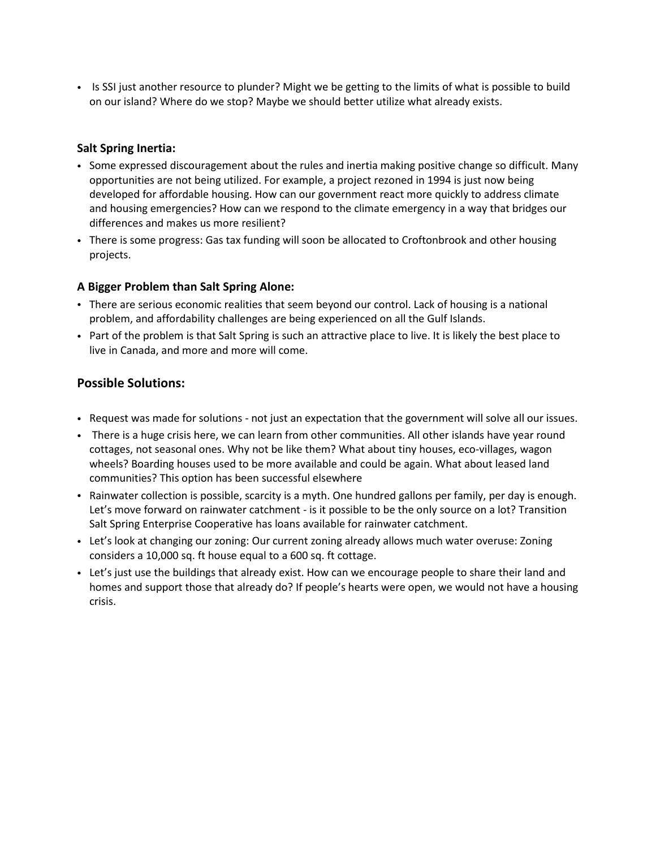• Is SSI just another resource to plunder? Might we be getting to the limits of what is possible to build on our island? Where do we stop? Maybe we should better utilize what already exists.

#### **Salt Spring Inertia:**

- Some expressed discouragement about the rules and inertia making positive change so difficult. Many opportunities are not being utilized. For example, a project rezoned in 1994 is just now being developed for affordable housing. How can our government react more quickly to address climate and housing emergencies? How can we respond to the climate emergency in a way that bridges our differences and makes us more resilient?
- There is some progress: Gas tax funding will soon be allocated to Croftonbrook and other housing projects.

#### **A Bigger Problem than Salt Spring Alone:**

- There are serious economic realities that seem beyond our control. Lack of housing is a national problem, and affordability challenges are being experienced on all the Gulf Islands.
- Part of the problem is that Salt Spring is such an attractive place to live. It is likely the best place to live in Canada, and more and more will come.

## **Possible Solutions:**

- Request was made for solutions not just an expectation that the government will solve all our issues.
- There is a huge crisis here, we can learn from other communities. All other islands have year round cottages, not seasonal ones. Why not be like them? What about tiny houses, eco-villages, wagon wheels? Boarding houses used to be more available and could be again. What about leased land communities? This option has been successful elsewhere
- Rainwater collection is possible, scarcity is a myth. One hundred gallons per family, per day is enough. Let's move forward on rainwater catchment - is it possible to be the only source on a lot? Transition Salt Spring Enterprise Cooperative has loans available for rainwater catchment.
- Let's look at changing our zoning: Our current zoning already allows much water overuse: Zoning considers a 10,000 sq. ft house equal to a 600 sq. ft cottage.
- Let's just use the buildings that already exist. How can we encourage people to share their land and homes and support those that already do? If people's hearts were open, we would not have a housing crisis.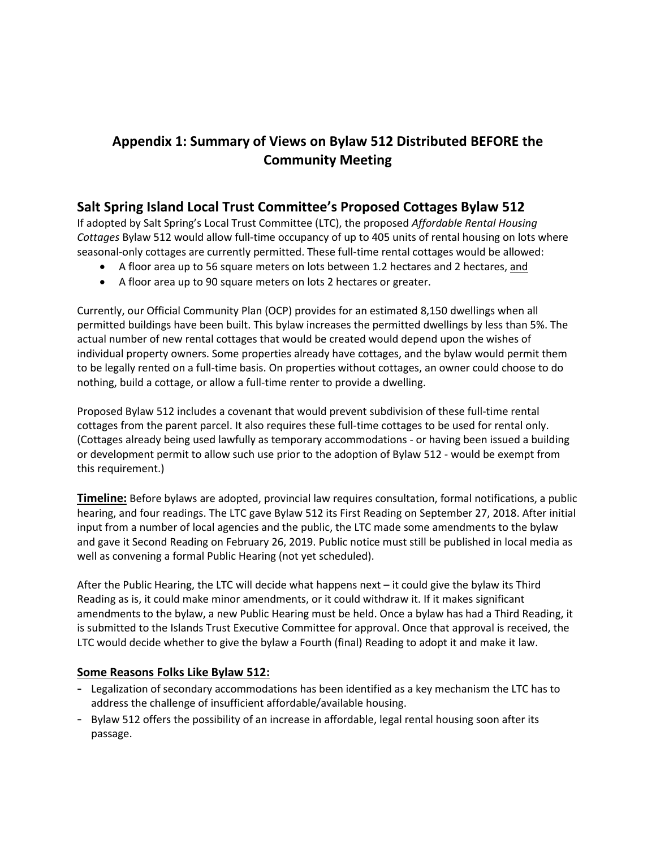# **Appendix 1: Summary of Views on Bylaw 512 Distributed BEFORE the Community Meeting**

# **Salt Spring Island Local Trust Committee's Proposed Cottages Bylaw 512**

If adopted by Salt Spring's Local Trust Committee (LTC), the proposed *Affordable Rental Housing Cottages* Bylaw 512 would allow full-time occupancy of up to 405 units of rental housing on lots where seasonal-only cottages are currently permitted. These full-time rental cottages would be allowed:

- A floor area up to 56 square meters on lots between 1.2 hectares and 2 hectares, and
- A floor area up to 90 square meters on lots 2 hectares or greater.

Currently, our Official Community Plan (OCP) provides for an estimated 8,150 dwellings when all permitted buildings have been built. This bylaw increases the permitted dwellings by less than 5%. The actual number of new rental cottages that would be created would depend upon the wishes of individual property owners. Some properties already have cottages, and the bylaw would permit them to be legally rented on a full-time basis. On properties without cottages, an owner could choose to do nothing, build a cottage, or allow a full-time renter to provide a dwelling.

Proposed Bylaw 512 includes a covenant that would prevent subdivision of these full-time rental cottages from the parent parcel. It also requires these full-time cottages to be used for rental only. (Cottages already being used lawfully as temporary accommodations - or having been issued a building or development permit to allow such use prior to the adoption of Bylaw 512 - would be exempt from this requirement.)

**Timeline:** Before bylaws are adopted, provincial law requires consultation, formal notifications, a public hearing, and four readings. The LTC gave Bylaw 512 its First Reading on September 27, 2018. After initial input from a number of local agencies and the public, the LTC made some amendments to the bylaw and gave it Second Reading on February 26, 2019. Public notice must still be published in local media as well as convening a formal Public Hearing (not yet scheduled).

After the Public Hearing, the LTC will decide what happens next – it could give the bylaw its Third Reading as is, it could make minor amendments, or it could withdraw it. If it makes significant amendments to the bylaw, a new Public Hearing must be held. Once a bylaw has had a Third Reading, it is submitted to the Islands Trust Executive Committee for approval. Once that approval is received, the LTC would decide whether to give the bylaw a Fourth (final) Reading to adopt it and make it law.

## **Some Reasons Folks Like Bylaw 512:**

- Legalization of secondary accommodations has been identified as a key mechanism the LTC has to address the challenge of insufficient affordable/available housing.
- Bylaw 512 offers the possibility of an increase in affordable, legal rental housing soon after its passage.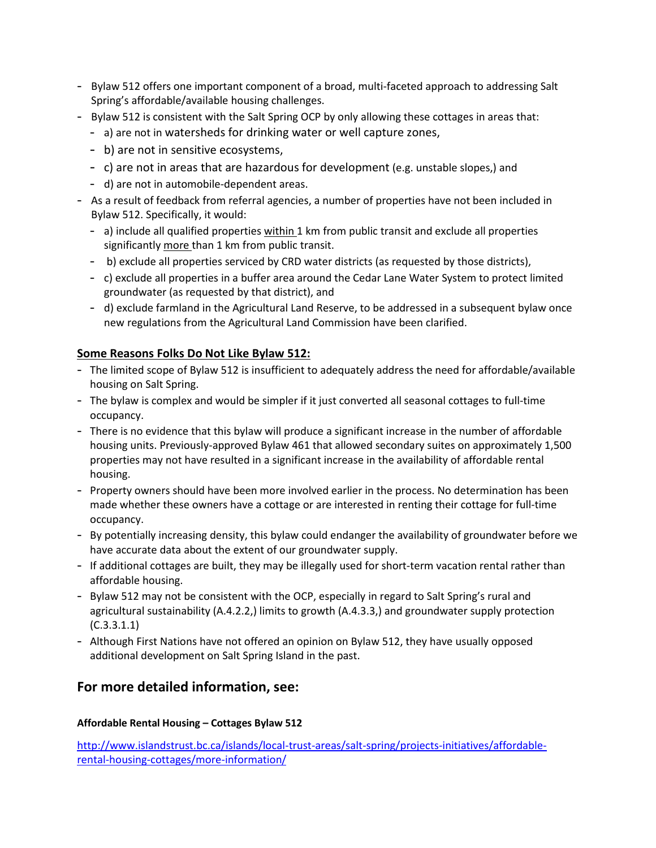- Bylaw 512 offers one important component of a broad, multi-faceted approach to addressing Salt Spring's affordable/available housing challenges.
- Bylaw 512 is consistent with the Salt Spring OCP by only allowing these cottages in areas that:
	- a) are not in watersheds for drinking water or well capture zones,
	- b) are not in sensitive ecosystems,
	- c) are not in areas that are hazardous for development (e.g. unstable slopes,) and
	- d) are not in automobile-dependent areas.
- As a result of feedback from referral agencies, a number of properties have not been included in Bylaw 512. Specifically, it would:
	- a) include all qualified properties within 1 km from public transit and exclude all properties significantly more than 1 km from public transit.
	- b) exclude all properties serviced by CRD water districts (as requested by those districts),
	- c) exclude all properties in a buffer area around the Cedar Lane Water System to protect limited groundwater (as requested by that district), and
	- d) exclude farmland in the Agricultural Land Reserve, to be addressed in a subsequent bylaw once new regulations from the Agricultural Land Commission have been clarified.

# **Some Reasons Folks Do Not Like Bylaw 512:**

- The limited scope of Bylaw 512 is insufficient to adequately address the need for affordable/available housing on Salt Spring.
- The bylaw is complex and would be simpler if it just converted all seasonal cottages to full-time occupancy.
- There is no evidence that this bylaw will produce a significant increase in the number of affordable housing units. Previously-approved Bylaw 461 that allowed secondary suites on approximately 1,500 properties may not have resulted in a significant increase in the availability of affordable rental housing.
- Property owners should have been more involved earlier in the process. No determination has been made whether these owners have a cottage or are interested in renting their cottage for full-time occupancy.
- By potentially increasing density, this bylaw could endanger the availability of groundwater before we have accurate data about the extent of our groundwater supply.
- If additional cottages are built, they may be illegally used for short-term vacation rental rather than affordable housing.
- Bylaw 512 may not be consistent with the OCP, especially in regard to Salt Spring's rural and agricultural sustainability (A.4.2.2,) limits to growth (A.4.3.3,) and groundwater supply protection (C.3.3.1.1)
- Although First Nations have not offered an opinion on Bylaw 512, they have usually opposed additional development on Salt Spring Island in the past.

# **For more detailed information, see:**

## **Affordable Rental Housing – Cottages Bylaw 512**

[http://www.islandstrust.bc.ca/islands/local-trust-areas/salt-spring/projects-initiatives/affordable](http://www.islandstrust.bc.ca/islands/local-trust-areas/salt-spring/projects-initiatives/affordable-rental-housing-cottages/more-information/)[rental-housing-cottages/more-information/](http://www.islandstrust.bc.ca/islands/local-trust-areas/salt-spring/projects-initiatives/affordable-rental-housing-cottages/more-information/)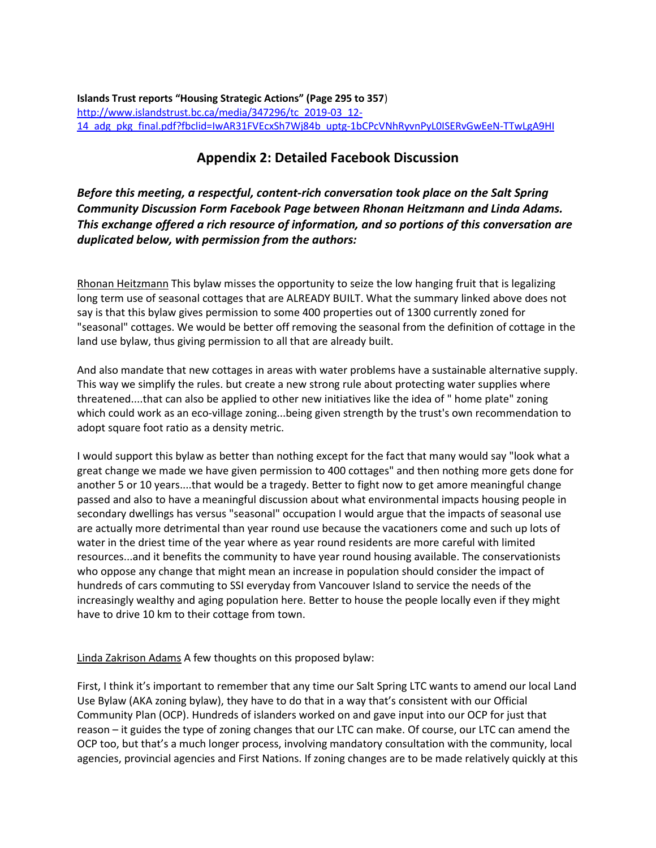**Islands Trust reports "Housing Strategic Actions" (Page 295 to 357**) [http://www.islandstrust.bc.ca/media/347296/tc\\_2019-03\\_12-](http://www.islandstrust.bc.ca/media/347296/tc_2019-03_12-14_adg_pkg_final.pdf?fbclid=IwAR31FVEcxSh7Wj84b_uptg-1bCPcVNhRyvnPyL0ISERvGwEeN-TTwLgA9HI) [14\\_adg\\_pkg\\_final.pdf?fbclid=IwAR31FVEcxSh7Wj84b\\_uptg-1bCPcVNhRyvnPyL0ISERvGwEeN-TTwLgA9HI](http://www.islandstrust.bc.ca/media/347296/tc_2019-03_12-14_adg_pkg_final.pdf?fbclid=IwAR31FVEcxSh7Wj84b_uptg-1bCPcVNhRyvnPyL0ISERvGwEeN-TTwLgA9HI)

# **Appendix 2: Detailed Facebook Discussion**

*Before this meeting, a respectful, content-rich conversation took place on the Salt Spring Community Discussion Form Facebook Page between Rhonan Heitzmann and Linda Adams. This exchange offered a rich resource of information, and so portions of this conversation are duplicated below, with permission from the authors:* 

Rhonan [Heitzmann](https://www.facebook.com/rhonan.heitzmann) This bylaw misses the opportunity to seize the low hanging fruit that is legalizing long term use of seasonal cottages that are ALREADY BUILT. What the summary linked above does not say is that this bylaw gives permission to some 400 properties out of 1300 currently zoned for "seasonal" cottages. We would be better off removing the seasonal from the definition of cottage in the land use bylaw, thus giving permission to all that are already built.

And also mandate that new cottages in areas with water problems have a sustainable alternative supply. This way we simplify the rules. but create a new strong rule about protecting water supplies where threatened....that can also be applied to other new initiatives like the idea of " home plate" zoning which could work as an eco-village zoning...being given strength by the trust's own recommendation to adopt square foot ratio as a density metric.

I would support this bylaw as better than nothing except for the fact that many would say "look what a great change we made we have given permission to 400 cottages" and then nothing more gets done for another 5 or 10 years....that would be a tragedy. Better to fight now to get amore meaningful change passed and also to have a meaningful discussion about what environmental impacts housing people in secondary dwellings has versus "seasonal" occupation I would argue that the impacts of seasonal use are actually more detrimental than year round use because the vacationers come and such up lots of water in the driest time of the year where as year round residents are more careful with limited resources...and it benefits the community to have year round housing available. The conservationists who oppose any change that might mean an increase in population should consider the impact of hundreds of cars commuting to SSI everyday from Vancouver Island to service the needs of the increasingly wealthy and aging population here. Better to house the people locally even if they might have to drive 10 km to their cottage from town.

#### Linda [Zakrison](https://www.facebook.com/linda.z.adams) Adams A few thoughts on this proposed bylaw:

First, I think it's important to remember that any time our Salt Spring LTC wants to amend our local Land Use Bylaw (AKA zoning bylaw), they have to do that in a way that's consistent with our Official Community Plan (OCP). Hundreds of islanders worked on and gave input into our OCP for just that reason – it guides the type of zoning changes that our LTC can make. Of course, our LTC can amend the OCP too, but that's a much longer process, involving mandatory consultation with the community, local agencies, provincial agencies and First Nations. If zoning changes are to be made relatively quickly at this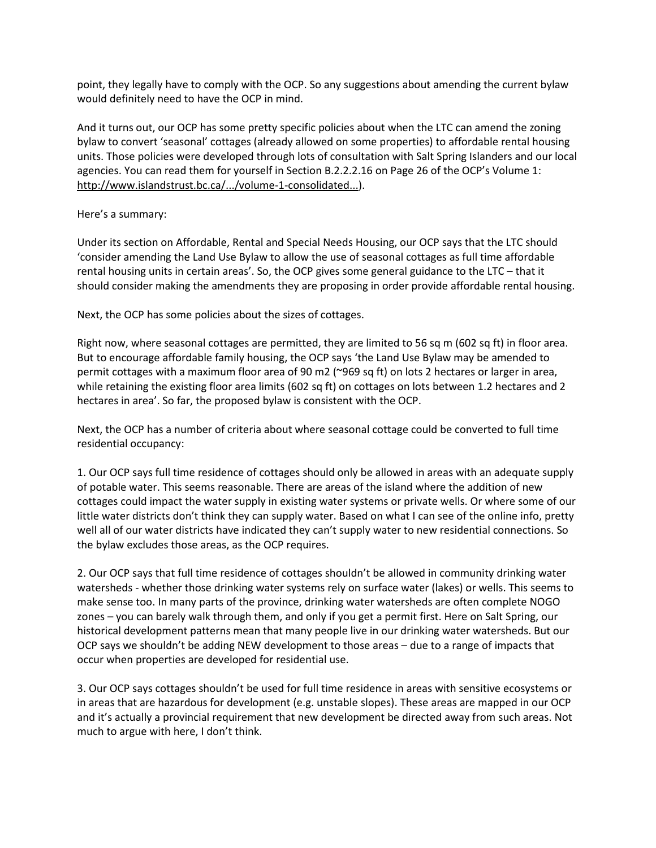point, they legally have to comply with the OCP. So any suggestions about amending the current bylaw would definitely need to have the OCP in mind.

And it turns out, our OCP has some pretty specific policies about when the LTC can amend the zoning bylaw to convert 'seasonal' cottages (already allowed on some properties) to affordable rental housing units. Those policies were developed through lots of consultation with Salt Spring Islanders and our local agencies. You can read them for yourself in Section B.2.2.2.16 on Page 26 of the OCP's Volume 1: [http://www.islandstrust.bc.ca/.../volume-1-consolidated...\)](https://l.facebook.com/l.php?u=http%3A%2F%2Fwww.islandstrust.bc.ca%2Fmedia%2F329643%2Fvolume-1-consolidated-july-2015.pdf%3Ffbclid%3DIwAR02sHxEI5Yi5He6AL7TjUOt5ow-M-cRPG2E7cb6BppLZreue1sLWSi69z0&h=AT1cNvH2GHlIbuSYj4mMHVefkd2p_6Y6hT2JH5eZlJ8Y5mSNlH5tG1_YJ14QT2TxDo9CkcByinOWsOtF19ZsYv_CIQM8OYmCySbWlkMiBzoEXDgu7I13xyMRk-X9eWEGrR8NzqY).

Here's a summary:

Under its section on Affordable, Rental and Special Needs Housing, our OCP says that the LTC should 'consider amending the Land Use Bylaw to allow the use of seasonal cottages as full time affordable rental housing units in certain areas'. So, the OCP gives some general guidance to the LTC – that it should consider making the amendments they are proposing in order provide affordable rental housing.

Next, the OCP has some policies about the sizes of cottages.

Right now, where seasonal cottages are permitted, they are limited to 56 sq m (602 sq ft) in floor area. But to encourage affordable family housing, the OCP says 'the Land Use Bylaw may be amended to permit cottages with a maximum floor area of 90 m2 (~969 sq ft) on lots 2 hectares or larger in area, while retaining the existing floor area limits (602 sq ft) on cottages on lots between 1.2 hectares and 2 hectares in area'. So far, the proposed bylaw is consistent with the OCP.

Next, the OCP has a number of criteria about where seasonal cottage could be converted to full time residential occupancy:

1. Our OCP says full time residence of cottages should only be allowed in areas with an adequate supply of potable water. This seems reasonable. There are areas of the island where the addition of new cottages could impact the water supply in existing water systems or private wells. Or where some of our little water districts don't think they can supply water. Based on what I can see of the online info, pretty well all of our water districts have indicated they can't supply water to new residential connections. So the bylaw excludes those areas, as the OCP requires.

2. Our OCP says that full time residence of cottages shouldn't be allowed in community drinking water watersheds - whether those drinking water systems rely on surface water (lakes) or wells. This seems to make sense too. In many parts of the province, drinking water watersheds are often complete NOGO zones – you can barely walk through them, and only if you get a permit first. Here on Salt Spring, our historical development patterns mean that many people live in our drinking water watersheds. But our OCP says we shouldn't be adding NEW development to those areas – due to a range of impacts that occur when properties are developed for residential use.

3. Our OCP says cottages shouldn't be used for full time residence in areas with sensitive ecosystems or in areas that are hazardous for development (e.g. unstable slopes). These areas are mapped in our OCP and it's actually a provincial requirement that new development be directed away from such areas. Not much to argue with here, I don't think.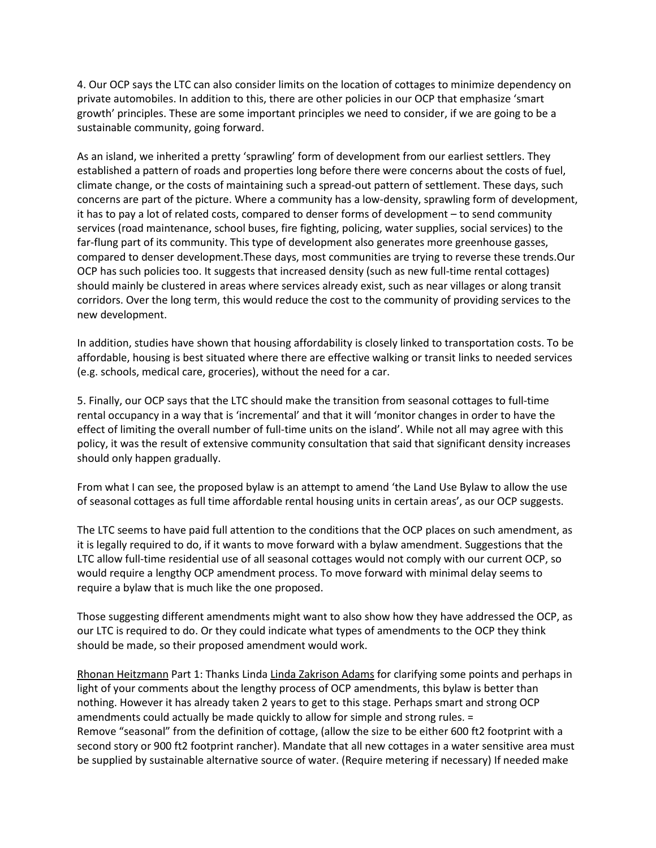4. Our OCP says the LTC can also consider limits on the location of cottages to minimize dependency on private automobiles. In addition to this, there are other policies in our OCP that emphasize 'smart growth' principles. These are some important principles we need to consider, if we are going to be a sustainable community, going forward.

As an island, we inherited a pretty 'sprawling' form of development from our earliest settlers. They established a pattern of roads and properties long before there were concerns about the costs of fuel, climate change, or the costs of maintaining such a spread-out pattern of settlement. These days, such concerns are part of the picture. Where a community has a low-density, sprawling form of development, it has to pay a lot of related costs, compared to denser forms of development – to send community services (road maintenance, school buses, fire fighting, policing, water supplies, social services) to the far-flung part of its community. This type of development also generates more greenhouse gasses, compared to denser development.These days, most communities are trying to reverse these trends.Our OCP has such policies too. It suggests that increased density (such as new full-time rental cottages) should mainly be clustered in areas where services already exist, such as near villages or along transit corridors. Over the long term, this would reduce the cost to the community of providing services to the new development.

In addition, studies have shown that housing affordability is closely linked to transportation costs. To be affordable, housing is best situated where there are effective walking or transit links to needed services (e.g. schools, medical care, groceries), without the need for a car.

5. Finally, our OCP says that the LTC should make the transition from seasonal cottages to full-time rental occupancy in a way that is 'incremental' and that it will 'monitor changes in order to have the effect of limiting the overall number of full-time units on the island'. While not all may agree with this policy, it was the result of extensive community consultation that said that significant density increases should only happen gradually.

From what I can see, the proposed bylaw is an attempt to amend 'the Land Use Bylaw to allow the use of seasonal cottages as full time affordable rental housing units in certain areas', as our OCP suggests.

The LTC seems to have paid full attention to the conditions that the OCP places on such amendment, as it is legally required to do, if it wants to move forward with a bylaw amendment. Suggestions that the LTC allow full-time residential use of all seasonal cottages would not comply with our current OCP, so would require a lengthy OCP amendment process. To move forward with minimal delay seems to require a bylaw that is much like the one proposed.

Those suggesting different amendments might want to also show how they have addressed the OCP, as our LTC is required to do. Or they could indicate what types of amendments to the OCP they think should be made, so their proposed amendment would work.

Rhonan [Heitzmann](https://www.facebook.com/rhonan.heitzmann) Part 1: Thanks Linda Linda [Zakrison](https://www.facebook.com/linda.z.adams?hc_location=ufi) Adams for clarifying some points and perhaps in light of your comments about the lengthy process of OCP amendments, this bylaw is better than nothing. However it has already taken 2 years to get to this stage. Perhaps smart and strong OCP amendments could actually be made quickly to allow for simple and strong rules. = Remove "seasonal" from the definition of cottage, (allow the size to be either 600 ft2 footprint with a second story or 900 ft2 footprint rancher). Mandate that all new cottages in a water sensitive area must be supplied by sustainable alternative source of water. (Require metering if necessary) If needed make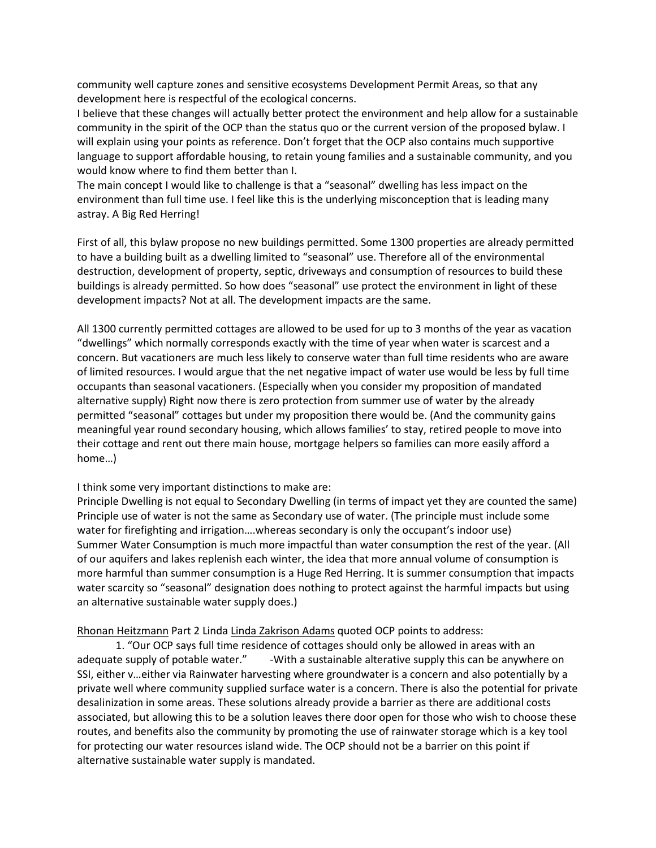community well capture zones and sensitive ecosystems Development Permit Areas, so that any development here is respectful of the ecological concerns.

I believe that these changes will actually better protect the environment and help allow for a sustainable community in the spirit of the OCP than the status quo or the current version of the proposed bylaw. I will explain using your points as reference. Don't forget that the OCP also contains much supportive language to support affordable housing, to retain young families and a sustainable community, and you would know where to find them better than I.

The main concept I would like to challenge is that a "seasonal" dwelling has less impact on the environment than full time use. I feel like this is the underlying misconception that is leading many astray. A Big Red Herring!

First of all, this bylaw propose no new buildings permitted. Some 1300 properties are already permitted to have a building built as a dwelling limited to "seasonal" use. Therefore all of the environmental destruction, development of property, septic, driveways and consumption of resources to build these buildings is already permitted. So how does "seasonal" use protect the environment in light of these development impacts? Not at all. The development impacts are the same.

All 1300 currently permitted cottages are allowed to be used for up to 3 months of the year as vacation "dwellings" which normally corresponds exactly with the time of year when water is scarcest and a concern. But vacationers are much less likely to conserve water than full time residents who are aware of limited resources. I would argue that the net negative impact of water use would be less by full time occupants than seasonal vacationers. (Especially when you consider my proposition of mandated alternative supply) Right now there is zero protection from summer use of water by the already permitted "seasonal" cottages but under my proposition there would be. (And the community gains meaningful year round secondary housing, which allows families' to stay, retired people to move into their cottage and rent out there main house, mortgage helpers so families can more easily afford a home…)

#### I think some very important distinctions to make are:

Principle Dwelling is not equal to Secondary Dwelling (in terms of impact yet they are counted the same) Principle use of water is not the same as Secondary use of water. (The principle must include some water for firefighting and irrigation….whereas secondary is only the occupant's indoor use) Summer Water Consumption is much more impactful than water consumption the rest of the year. (All of our aquifers and lakes replenish each winter, the idea that more annual volume of consumption is more harmful than summer consumption is a Huge Red Herring. It is summer consumption that impacts water scarcity so "seasonal" designation does nothing to protect against the harmful impacts but using an alternative sustainable water supply does.)

#### Rhonan [Heitzmann](https://www.facebook.com/rhonan.heitzmann) Part 2 Linda Linda [Zakrison](https://www.facebook.com/linda.z.adams?hc_location=ufi) Adams quoted OCP points to address:

1. "Our OCP says full time residence of cottages should only be allowed in areas with an adequate supply of potable water." -With a sustainable alterative supply this can be anywhere on SSI, either v…either via Rainwater harvesting where groundwater is a concern and also potentially by a private well where community supplied surface water is a concern. There is also the potential for private desalinization in some areas. These solutions already provide a barrier as there are additional costs associated, but allowing this to be a solution leaves there door open for those who wish to choose these routes, and benefits also the community by promoting the use of rainwater storage which is a key tool for protecting our water resources island wide. The OCP should not be a barrier on this point if alternative sustainable water supply is mandated.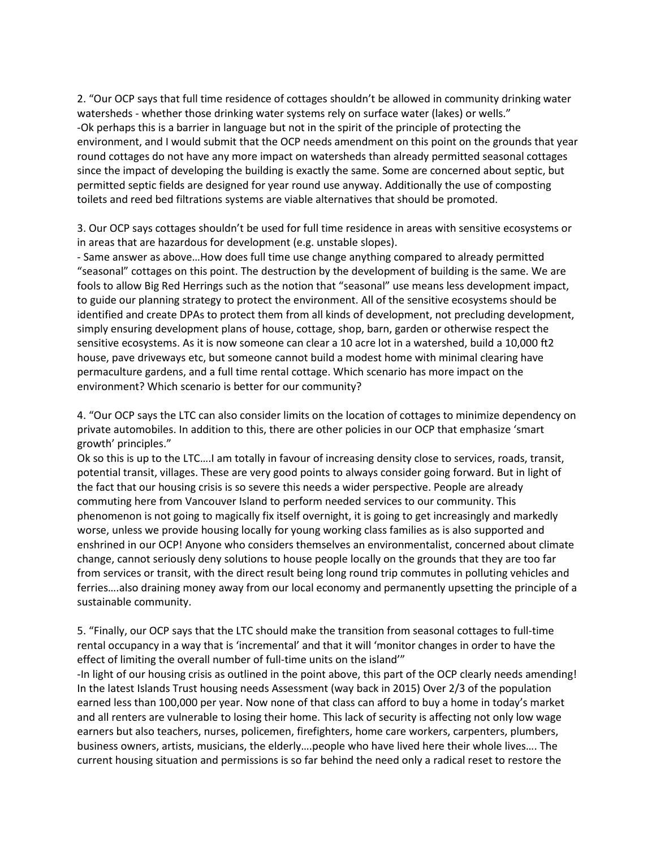2. "Our OCP says that full time residence of cottages shouldn't be allowed in community drinking water watersheds - whether those drinking water systems rely on surface water (lakes) or wells." -Ok perhaps this is a barrier in language but not in the spirit of the principle of protecting the environment, and I would submit that the OCP needs amendment on this point on the grounds that year round cottages do not have any more impact on watersheds than already permitted seasonal cottages since the impact of developing the building is exactly the same. Some are concerned about septic, but permitted septic fields are designed for year round use anyway. Additionally the use of composting toilets and reed bed filtrations systems are viable alternatives that should be promoted.

3. Our OCP says cottages shouldn't be used for full time residence in areas with sensitive ecosystems or in areas that are hazardous for development (e.g. unstable slopes).

- Same answer as above…How does full time use change anything compared to already permitted "seasonal" cottages on this point. The destruction by the development of building is the same. We are fools to allow Big Red Herrings such as the notion that "seasonal" use means less development impact, to guide our planning strategy to protect the environment. All of the sensitive ecosystems should be identified and create DPAs to protect them from all kinds of development, not precluding development, simply ensuring development plans of house, cottage, shop, barn, garden or otherwise respect the sensitive ecosystems. As it is now someone can clear a 10 acre lot in a watershed, build a 10,000 ft2 house, pave driveways etc, but someone cannot build a modest home with minimal clearing have permaculture gardens, and a full time rental cottage. Which scenario has more impact on the environment? Which scenario is better for our community?

4. "Our OCP says the LTC can also consider limits on the location of cottages to minimize dependency on private automobiles. In addition to this, there are other policies in our OCP that emphasize 'smart growth' principles."

Ok so this is up to the LTC….I am totally in favour of increasing density close to services, roads, transit, potential transit, villages. These are very good points to always consider going forward. But in light of the fact that our housing crisis is so severe this needs a wider perspective. People are already commuting here from Vancouver Island to perform needed services to our community. This phenomenon is not going to magically fix itself overnight, it is going to get increasingly and markedly worse, unless we provide housing locally for young working class families as is also supported and enshrined in our OCP! Anyone who considers themselves an environmentalist, concerned about climate change, cannot seriously deny solutions to house people locally on the grounds that they are too far from services or transit, with the direct result being long round trip commutes in polluting vehicles and ferries….also draining money away from our local economy and permanently upsetting the principle of a sustainable community.

5. "Finally, our OCP says that the LTC should make the transition from seasonal cottages to full-time rental occupancy in a way that is 'incremental' and that it will 'monitor changes in order to have the effect of limiting the overall number of full-time units on the island'"

-In light of our housing crisis as outlined in the point above, this part of the OCP clearly needs amending! In the latest Islands Trust housing needs Assessment (way back in 2015) Over 2/3 of the population earned less than 100,000 per year. Now none of that class can afford to buy a home in today's market and all renters are vulnerable to losing their home. This lack of security is affecting not only low wage earners but also teachers, nurses, policemen, firefighters, home care workers, carpenters, plumbers, business owners, artists, musicians, the elderly….people who have lived here their whole lives…. The current housing situation and permissions is so far behind the need only a radical reset to restore the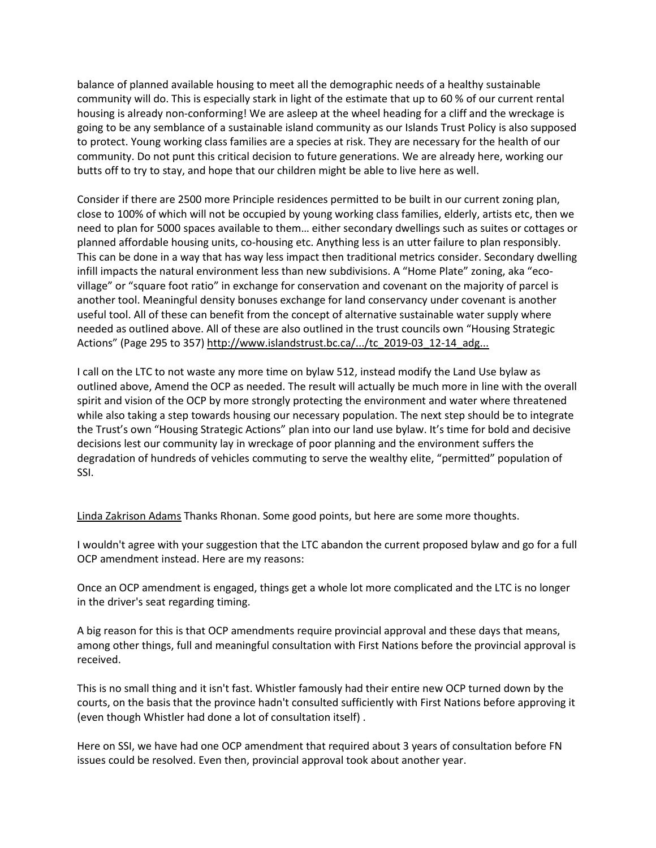balance of planned available housing to meet all the demographic needs of a healthy sustainable community will do. This is especially stark in light of the estimate that up to 60 % of our current rental housing is already non-conforming! We are asleep at the wheel heading for a cliff and the wreckage is going to be any semblance of a sustainable island community as our Islands Trust Policy is also supposed to protect. Young working class families are a species at risk. They are necessary for the health of our community. Do not punt this critical decision to future generations. We are already here, working our butts off to try to stay, and hope that our children might be able to live here as well.

Consider if there are 2500 more Principle residences permitted to be built in our current zoning plan, close to 100% of which will not be occupied by young working class families, elderly, artists etc, then we need to plan for 5000 spaces available to them… either secondary dwellings such as suites or cottages or planned affordable housing units, co-housing etc. Anything less is an utter failure to plan responsibly. This can be done in a way that has way less impact then traditional metrics consider. Secondary dwelling infill impacts the natural environment less than new subdivisions. A "Home Plate" zoning, aka "ecovillage" or "square foot ratio" in exchange for conservation and covenant on the majority of parcel is another tool. Meaningful density bonuses exchange for land conservancy under covenant is another useful tool. All of these can benefit from the concept of alternative sustainable water supply where needed as outlined above. All of these are also outlined in the trust councils own "Housing Strategic Actions" (Page 295 to 357) [http://www.islandstrust.bc.ca/.../tc\\_2019-03\\_12-14\\_adg...](https://l.facebook.com/l.php?u=http%3A%2F%2Fwww.islandstrust.bc.ca%2Fmedia%2F347296%2Ftc_2019-03_12-14_adg_pkg_final.pdf%3Ffbclid%3DIwAR31FVEcxSh7Wj84b_uptg-1bCPcVNhRyvnPyL0ISERvGwEeN-TTwLgA9HI&h=AT0UgZYlGihTzTnxATw14aO5Ff9eGgs3A_QdD_7aA-9gl1iHADsnYkFqlpmVN-f4aMMKJLPCGiwftat0wYfW7LDdj_tHELH3Fuu72jKo6Yk1HB02kE--elT_PrQIbaVpYZhrOB4)

I call on the LTC to not waste any more time on bylaw 512, instead modify the Land Use bylaw as outlined above, Amend the OCP as needed. The result will actually be much more in line with the overall spirit and vision of the OCP by more strongly protecting the environment and water where threatened while also taking a step towards housing our necessary population. The next step should be to integrate the Trust's own "Housing Strategic Actions" plan into our land use bylaw. It's time for bold and decisive decisions lest our community lay in wreckage of poor planning and the environment suffers the degradation of hundreds of vehicles commuting to serve the wealthy elite, "permitted" population of SSI.

Linda [Zakrison](https://www.facebook.com/linda.z.adams) Adams Thanks Rhonan. Some good points, but here are some more thoughts.

I wouldn't agree with your suggestion that the LTC abandon the current proposed bylaw and go for a full OCP amendment instead. Here are my reasons:

Once an OCP amendment is engaged, things get a whole lot more complicated and the LTC is no longer in the driver's seat regarding timing.

A big reason for this is that OCP amendments require provincial approval and these days that means, among other things, full and meaningful consultation with First Nations before the provincial approval is received.

This is no small thing and it isn't fast. Whistler famously had their entire new OCP turned down by the courts, on the basis that the province hadn't consulted sufficiently with First Nations before approving it (even though Whistler had done a lot of consultation itself) .

Here on SSI, we have had one OCP amendment that required about 3 years of consultation before FN issues could be resolved. Even then, provincial approval took about another year.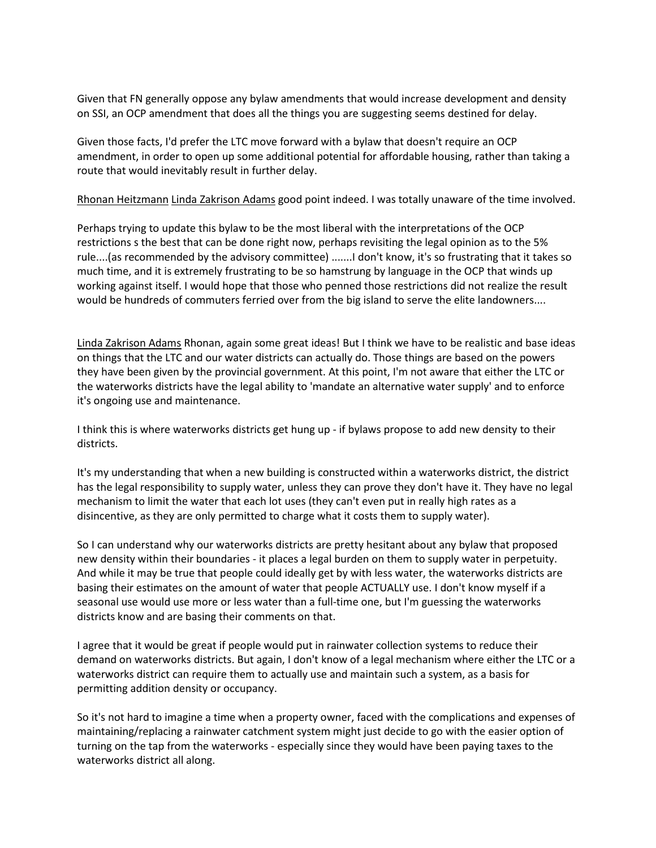Given that FN generally oppose any bylaw amendments that would increase development and density on SSI, an OCP amendment that does all the things you are suggesting seems destined for delay.

Given those facts, I'd prefer the LTC move forward with a bylaw that doesn't require an OCP amendment, in order to open up some additional potential for affordable housing, rather than taking a route that would inevitably result in further delay.

Rhonan [Heitzmann](https://www.facebook.com/rhonan.heitzmann) Linda [Zakrison](https://www.facebook.com/linda.z.adams?hc_location=ufi) Adams good point indeed. I was totally unaware of the time involved.

Perhaps trying to update this bylaw to be the most liberal with the interpretations of the OCP restrictions s the best that can be done right now, perhaps revisiting the legal opinion as to the 5% rule....(as recommended by the advisory committee) .......I don't know, it's so frustrating that it takes so much time, and it is extremely frustrating to be so hamstrung by language in the OCP that winds up working against itself. I would hope that those who penned those restrictions did not realize the result would be hundreds of commuters ferried over from the big island to serve the elite landowners....

Linda [Zakrison](https://www.facebook.com/linda.z.adams) Adams Rhonan, again some great ideas! But I think we have to be realistic and base ideas on things that the LTC and our water districts can actually do. Those things are based on the powers they have been given by the provincial government. At this point, I'm not aware that either the LTC or the waterworks districts have the legal ability to 'mandate an alternative water supply' and to enforce it's ongoing use and maintenance.

I think this is where waterworks districts get hung up - if bylaws propose to add new density to their districts.

It's my understanding that when a new building is constructed within a waterworks district, the district has the legal responsibility to supply water, unless they can prove they don't have it. They have no legal mechanism to limit the water that each lot uses (they can't even put in really high rates as a disincentive, as they are only permitted to charge what it costs them to supply water).

So I can understand why our waterworks districts are pretty hesitant about any bylaw that proposed new density within their boundaries - it places a legal burden on them to supply water in perpetuity. And while it may be true that people could ideally get by with less water, the waterworks districts are basing their estimates on the amount of water that people ACTUALLY use. I don't know myself if a seasonal use would use more or less water than a full-time one, but I'm guessing the waterworks districts know and are basing their comments on that.

I agree that it would be great if people would put in rainwater collection systems to reduce their demand on waterworks districts. But again, I don't know of a legal mechanism where either the LTC or a waterworks district can require them to actually use and maintain such a system, as a basis for permitting addition density or occupancy.

So it's not hard to imagine a time when a property owner, faced with the complications and expenses of maintaining/replacing a rainwater catchment system might just decide to go with the easier option of turning on the tap from the waterworks - especially since they would have been paying taxes to the waterworks district all along.